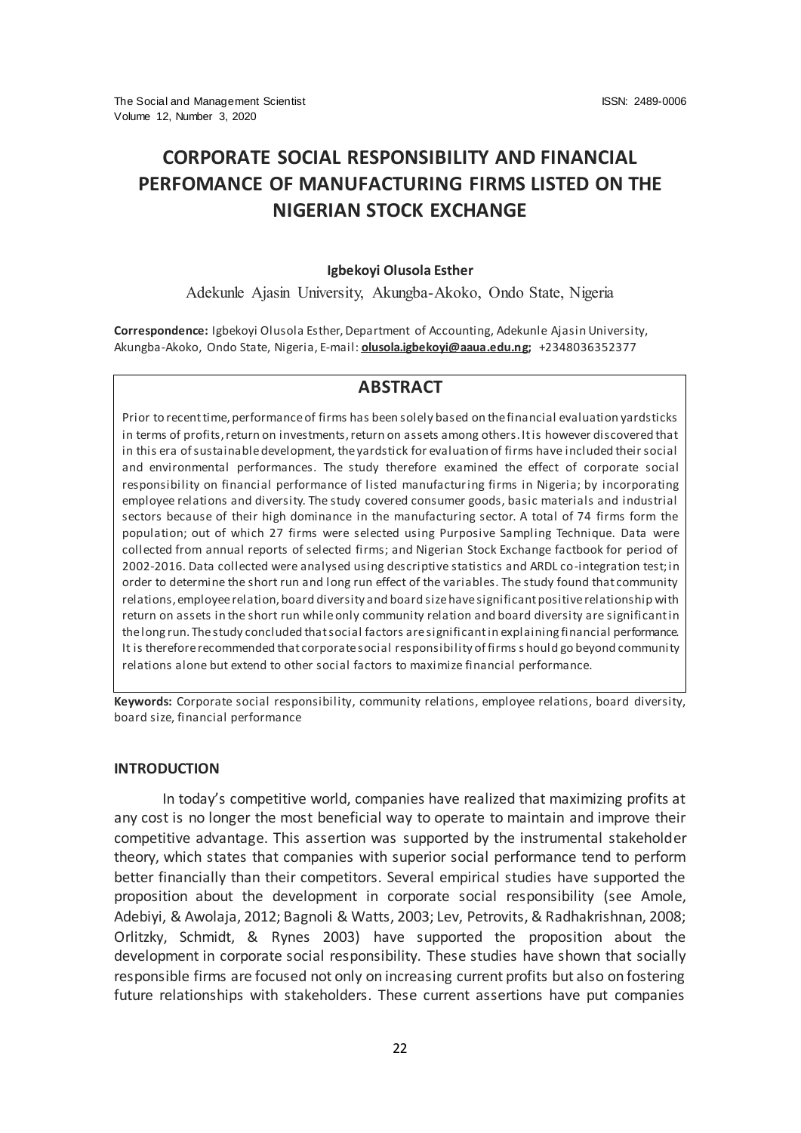# **CORPORATE SOCIAL RESPONSIBILITY AND FINANCIAL PERFOMANCE OF MANUFACTURING FIRMS LISTED ON THE NIGERIAN STOCK EXCHANGE**

#### **Igbekoyi Olusola Esther**

Adekunle Ajasin University, Akungba-Akoko, Ondo State, Nigeria

**Correspondence:** Igbekoyi Olusola Esther, Department of Accounting, Adekunle Ajasin University, Akungba-Akoko, Ondo State, Nigeria, E-mail: **[olusola.igbekoyi@aaua.edu.ng;](mailto:olusola.igbekoyi@aaua.edu.ng)** +2348036352377

## **ABSTRACT**

Prior to recent time, performance of firms has been solely based on the financial evaluation yardsticks in terms of profits, return on investments, return on assets among others. It is however discovered that in this era of sustainable development, the yardstick for evaluation of firms have included their social and environmental performances. The study therefore examined the effect of corporate social responsibility on financial performance of listed manufacturing firms in Nigeria; by incorporating employee relations and diversity. The study covered consumer goods, basic materials and industrial sectors because of their high dominance in the manufacturing sector. A total of 74 firms form the population; out of which 27 firms were selected using Purposive Sampling Technique. Data were collected from annual reports of selected firms; and Nigerian Stock Exchange factbook for period of 2002-2016. Data collected were analysed using descriptive statistics and ARDL co-integration test; in order to determine the short run and long run effect of the variables. The study found that community relations, employee relation, board diversity and board size have significant positive relationship with return on assets in the short run while only community relation and board diversity are significant in the long run. The study concluded that social factors are significant in explaining financial performance. It is therefore recommended that corporate social responsibility of firms s hould go beyond community relations alone but extend to other social factors to maximize financial performance.

**Keywords:** Corporate social responsibility, community relations, employee relations, board diversity, board size, financial performance

#### **INTRODUCTION**

In today's competitive world, companies have realized that maximizing profits at any cost is no longer the most beneficial way to operate to maintain and improve their competitive advantage. This assertion was supported by the instrumental stakeholder theory, which states that companies with superior social performance tend to perform better financially than their competitors. Several empirical studies have supported the proposition about the development in corporate social responsibility (see Amole, Adebiyi, & Awolaja, 2012; Bagnoli & Watts, 2003; Lev, Petrovits, & Radhakrishnan, 2008; Orlitzky, Schmidt, & Rynes 2003) have supported the proposition about the development in corporate social responsibility. These studies have shown that socially responsible firms are focused not only on increasing current profits but also on fostering future relationships with stakeholders. These current assertions have put companies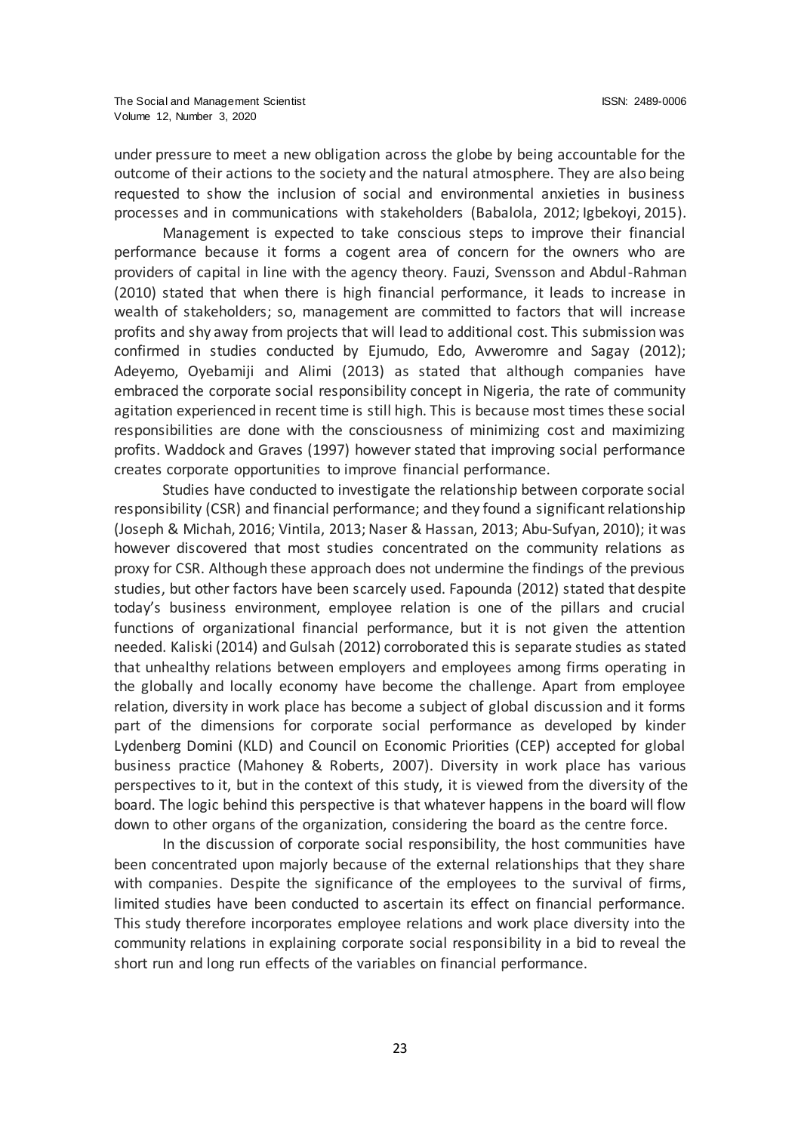under pressure to meet a new obligation across the globe by being accountable for the outcome of their actions to the society and the natural atmosphere. They are also being requested to show the inclusion of social and environmental anxieties in business processes and in communications with stakeholders (Babalola, 2012; Igbekoyi, 2015).

Management is expected to take conscious steps to improve their financial performance because it forms a cogent area of concern for the owners who are providers of capital in line with the agency theory. Fauzi, Svensson and Abdul-Rahman (2010) stated that when there is high financial performance, it leads to increase in wealth of stakeholders; so, management are committed to factors that will increase profits and shy away from projects that will lead to additional cost. This submission was confirmed in studies conducted by Ejumudo, Edo, Avweromre and Sagay (2012); Adeyemo, Oyebamiji and Alimi (2013) as stated that although companies have embraced the corporate social responsibility concept in Nigeria, the rate of community agitation experienced in recent time is still high. This is because most times these social responsibilities are done with the consciousness of minimizing cost and maximizing profits. Waddock and Graves (1997) however stated that improving social performance creates corporate opportunities to improve financial performance.

Studies have conducted to investigate the relationship between corporate social responsibility (CSR) and financial performance; and they found a significant relationship (Joseph & Michah, 2016; Vintila, 2013; Naser & Hassan, 2013; Abu-Sufyan, 2010); it was however discovered that most studies concentrated on the community relations as proxy for CSR. Although these approach does not undermine the findings of the previous studies, but other factors have been scarcely used. Fapounda (2012) stated that despite today's business environment, employee relation is one of the pillars and crucial functions of organizational financial performance, but it is not given the attention needed. Kaliski (2014) and Gulsah (2012) corroborated this is separate studies as stated that unhealthy relations between employers and employees among firms operating in the globally and locally economy have become the challenge. Apart from employee relation, diversity in work place has become a subject of global discussion and it forms part of the dimensions for corporate social performance as developed by kinder Lydenberg Domini (KLD) and Council on Economic Priorities (CEP) accepted for global business practice (Mahoney & Roberts, 2007). Diversity in work place has various perspectives to it, but in the context of this study, it is viewed from the diversity of the board. The logic behind this perspective is that whatever happens in the board will flow down to other organs of the organization, considering the board as the centre force.

In the discussion of corporate social responsibility, the host communities have been concentrated upon majorly because of the external relationships that they share with companies. Despite the significance of the employees to the survival of firms, limited studies have been conducted to ascertain its effect on financial performance. This study therefore incorporates employee relations and work place diversity into the community relations in explaining corporate social responsibility in a bid to reveal the short run and long run effects of the variables on financial performance.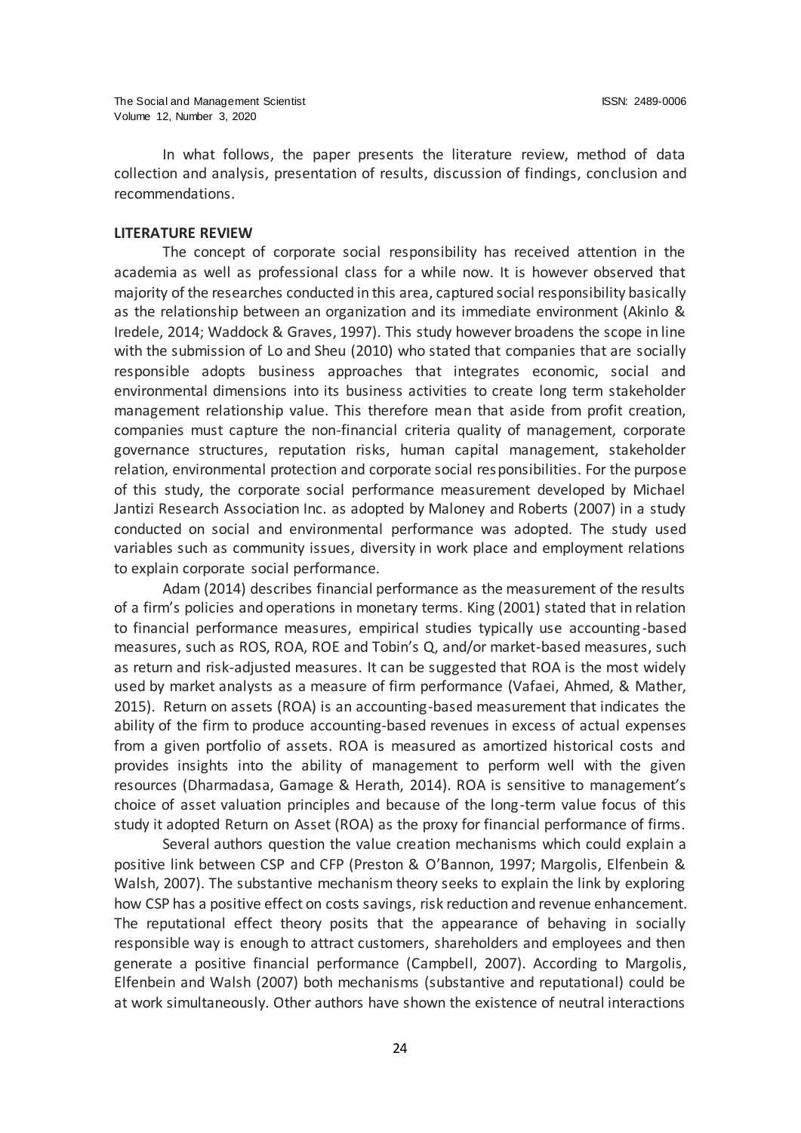In what follows, the paper presents the literature review, method of data collection and analysis, presentation of results, discussion of findings, conclusion and recommendations.

### **LITERATURE REVIEW**

The concept of corporate social responsibility has received attention in the academia as well as professional class for a while now. It is however observed that majority of the researches conducted in this area, captured social responsibility basically as the relationship between an organization and its immediate environment (Akinlo & Iredele, 2014; Waddock & Graves, 1997). This study however broadens the scope in line with the submission of Lo and Sheu (2010) who stated that companies that are socially responsible adopts business approaches that integrates economic, social and environmental dimensions into its business activities to create long term stakeholder management relationship value. This therefore mean that aside from profit creation, companies must capture the non-financial criteria quality of management, corporate governance structures, reputation risks, human capital management, stakeholder relation, environmental protection and corporate social responsibilities. For the purpose of this study, the corporate social performance measurement developed by Michael Jantizi Research Association Inc. as adopted by Maloney and Roberts (2007) in a study conducted on social and environmental performance was adopted. The study used variables such as community issues, diversity in work place and employment relations to explain corporate social performance.

Adam (2014) describes financial performance as the measurement of the results of a firm's policies and operations in monetary terms. King (2001) stated that in relation to financial performance measures, empirical studies typically use accounting-based measures, such as ROS, ROA, ROE and Tobin's Q, and/or market-based measures, such as return and risk-adjusted measures. It can be suggested that ROA is the most widely used by market analysts as a measure of firm performance (Vafaei, Ahmed, & Mather, 2015). Return on assets (ROA) is an accounting-based measurement that indicates the ability of the firm to produce accounting-based revenues in excess of actual expenses from a given portfolio of assets. ROA is measured as amortized historical costs and provides insights into the ability of management to perform well with the given resources (Dharmadasa, Gamage & Herath, 2014). ROA is sensitive to management's choice of asset valuation principles and because of the long-term value focus of this study it adopted Return on Asset (ROA) as the proxy for financial performance of firms.

Several authors question the value creation mechanisms which could explain a positive link between CSP and CFP (Preston & O'Bannon, 1997; Margolis, Elfenbein & Walsh, 2007). The substantive mechanism theory seeks to explain the link by exploring how CSP has a positive effect on costs savings, risk reduction and revenue enhancement. The reputational effect theory posits that the appearance of behaving in socially responsible way is enough to attract customers, shareholders and employees and then generate a positive financial performance (Campbell, 2007). According to Margolis, Elfenbein and Walsh (2007) both mechanisms (substantive and reputational) could be at work simultaneously. Other authors have shown the existence of neutral interactions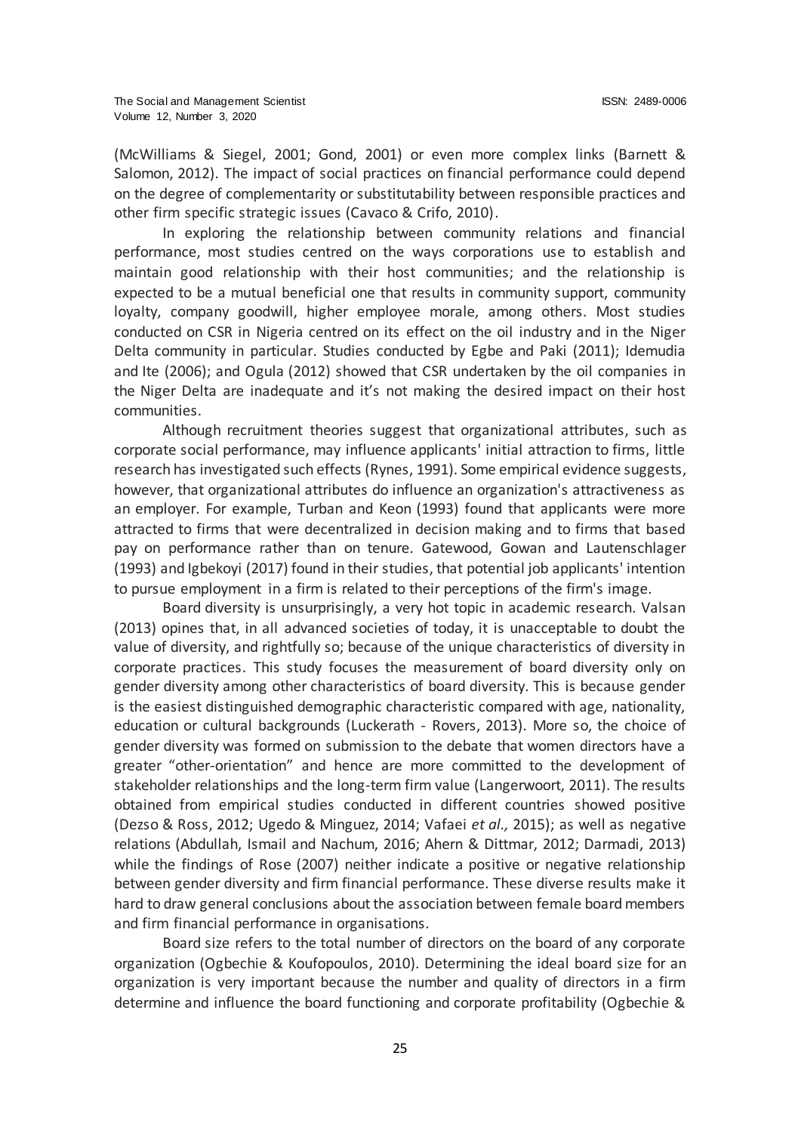(McWilliams & Siegel, 2001; Gond, 2001) or even more complex links (Barnett & Salomon, 2012). The impact of social practices on financial performance could depend on the degree of complementarity or substitutability between responsible practices and other firm specific strategic issues (Cavaco & Crifo, 2010).

In exploring the relationship between community relations and financial performance, most studies centred on the ways corporations use to establish and maintain good relationship with their host communities; and the relationship is expected to be a mutual beneficial one that results in community support, community loyalty, company goodwill, higher employee morale, among others. Most studies conducted on CSR in Nigeria centred on its effect on the oil industry and in the Niger Delta community in particular. Studies conducted by Egbe and Paki (2011); Idemudia and Ite (2006); and Ogula (2012) showed that CSR undertaken by the oil companies in the Niger Delta are inadequate and it's not making the desired impact on their host communities.

Although recruitment theories suggest that organizational attributes, such as corporate social performance, may influence applicants' initial attraction to firms, little research has investigated such effects (Rynes, 1991). Some empirical evidence suggests, however, that organizational attributes do influence an organization's attractiveness as an employer. For example, Turban and Keon (1993) found that applicants were more attracted to firms that were decentralized in decision making and to firms that based pay on performance rather than on tenure. Gatewood, Gowan and Lautenschlager (1993) and Igbekoyi (2017) found in their studies, that potential job applicants' intention to pursue employment in a firm is related to their perceptions of the firm's image.

Board diversity is unsurprisingly, a very hot topic in academic research. Valsan (2013) opines that, in all advanced societies of today, it is unacceptable to doubt the value of diversity, and rightfully so; because of the unique characteristics of diversity in corporate practices. This study focuses the measurement of board diversity only on gender diversity among other characteristics of board diversity. This is because gender is the easiest distinguished demographic characteristic compared with age, nationality, education or cultural backgrounds (Luckerath - Rovers, 2013). More so, the choice of gender diversity was formed on submission to the debate that women directors have a greater "other-orientation" and hence are more committed to the development of stakeholder relationships and the long-term firm value (Langerwoort, 2011). The results obtained from empirical studies conducted in different countries showed positive (Dezso & Ross, 2012; Ugedo & Minguez, 2014; Vafaei *et al.,* 2015); as well as negative relations (Abdullah, Ismail and Nachum, 2016; Ahern & Dittmar, 2012; Darmadi, 2013) while the findings of Rose (2007) neither indicate a positive or negative relationship between gender diversity and firm financial performance. These diverse results make it hard to draw general conclusions about the association between female board members and firm financial performance in organisations.

Board size refers to the total number of directors on the board of any corporate organization (Ogbechie & Koufopoulos, 2010). Determining the ideal board size for an organization is very important because the number and quality of directors in a firm determine and influence the board functioning and corporate profitability (Ogbechie &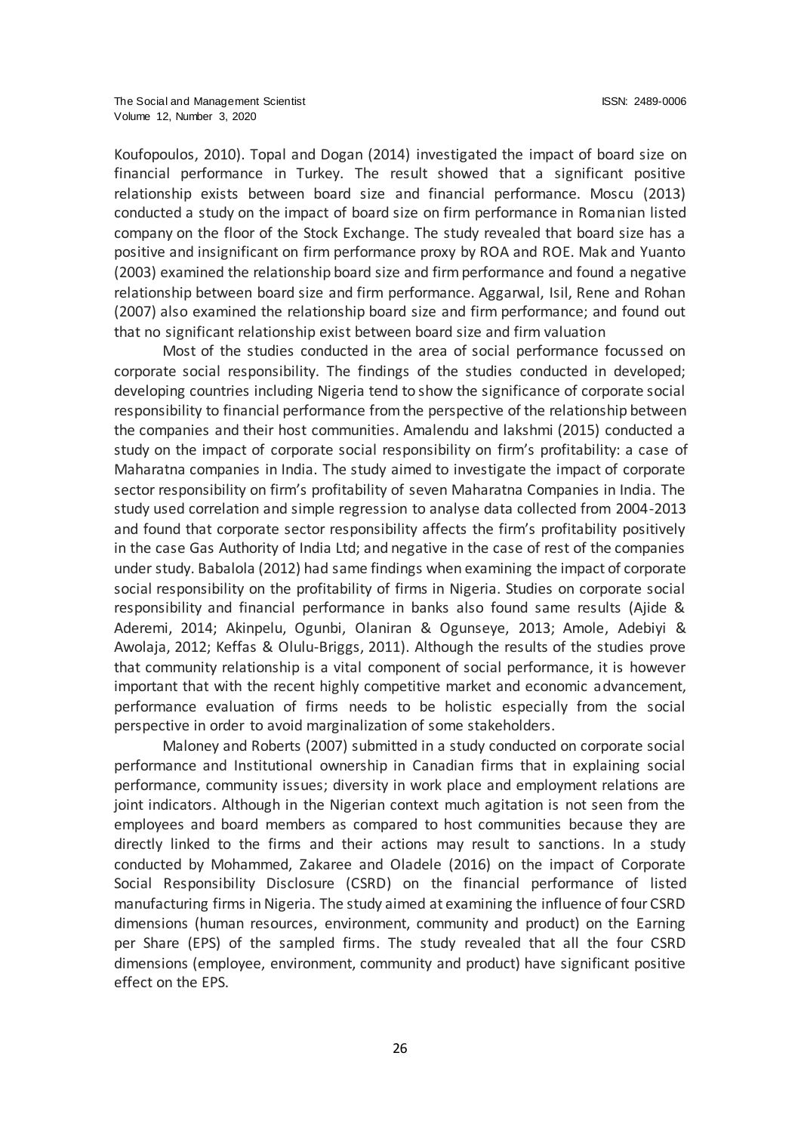Koufopoulos, 2010). Topal and Dogan (2014) investigated the impact of board size on financial performance in Turkey. The result showed that a significant positive relationship exists between board size and financial performance. Moscu (2013) conducted a study on the impact of board size on firm performance in Romanian listed company on the floor of the Stock Exchange. The study revealed that board size has a positive and insignificant on firm performance proxy by ROA and ROE. Mak and Yuanto (2003) examined the relationship board size and firm performance and found a negative relationship between board size and firm performance. Aggarwal, Isil, Rene and Rohan (2007) also examined the relationship board size and firm performance; and found out that no significant relationship exist between board size and firm valuation

Most of the studies conducted in the area of social performance focussed on corporate social responsibility. The findings of the studies conducted in developed; developing countries including Nigeria tend to show the significance of corporate social responsibility to financial performance from the perspective of the relationship between the companies and their host communities. Amalendu and lakshmi (2015) conducted a study on the impact of corporate social responsibility on firm's profitability: a case of Maharatna companies in India. The study aimed to investigate the impact of corporate sector responsibility on firm's profitability of seven Maharatna Companies in India. The study used correlation and simple regression to analyse data collected from 2004-2013 and found that corporate sector responsibility affects the firm's profitability positively in the case Gas Authority of India Ltd; and negative in the case of rest of the companies under study. Babalola (2012) had same findings when examining the impact of corporate social responsibility on the profitability of firms in Nigeria. Studies on corporate social responsibility and financial performance in banks also found same results (Ajide & Aderemi, 2014; Akinpelu, Ogunbi, Olaniran & Ogunseye, 2013; Amole, Adebiyi & Awolaja, 2012; Keffas & Olulu-Briggs, 2011). Although the results of the studies prove that community relationship is a vital component of social performance, it is however important that with the recent highly competitive market and economic advancement, performance evaluation of firms needs to be holistic especially from the social perspective in order to avoid marginalization of some stakeholders.

Maloney and Roberts (2007) submitted in a study conducted on corporate social performance and Institutional ownership in Canadian firms that in explaining social performance, community issues; diversity in work place and employment relations are joint indicators. Although in the Nigerian context much agitation is not seen from the employees and board members as compared to host communities because they are directly linked to the firms and their actions may result to sanctions. In a study conducted by Mohammed, Zakaree and Oladele (2016) on the impact of Corporate Social Responsibility Disclosure (CSRD) on the financial performance of listed manufacturing firms in Nigeria. The study aimed at examining the influence of four CSRD dimensions (human resources, environment, community and product) on the Earning per Share (EPS) of the sampled firms. The study revealed that all the four CSRD dimensions (employee, environment, community and product) have significant positive effect on the EPS.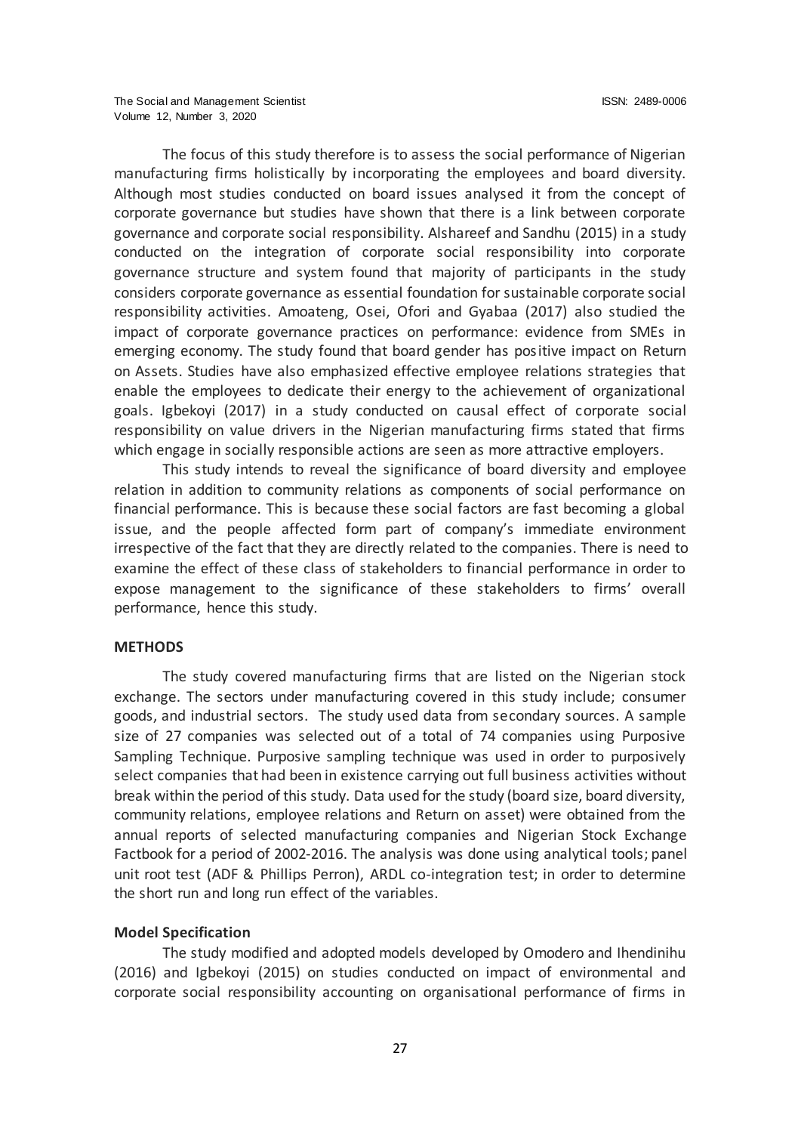The focus of this study therefore is to assess the social performance of Nigerian manufacturing firms holistically by incorporating the employees and board diversity. Although most studies conducted on board issues analysed it from the concept of corporate governance but studies have shown that there is a link between corporate governance and corporate social responsibility. Alshareef and Sandhu (2015) in a study conducted on the integration of corporate social responsibility into corporate governance structure and system found that majority of participants in the study considers corporate governance as essential foundation for sustainable corporate social responsibility activities. Amoateng, Osei, Ofori and Gyabaa (2017) also studied the impact of corporate governance practices on performance: evidence from SMEs in emerging economy. The study found that board gender has positive impact on Return on Assets. Studies have also emphasized effective employee relations strategies that enable the employees to dedicate their energy to the achievement of organizational goals. Igbekoyi (2017) in a study conducted on causal effect of corporate social responsibility on value drivers in the Nigerian manufacturing firms stated that firms which engage in socially responsible actions are seen as more attractive employers.

This study intends to reveal the significance of board diversity and employee relation in addition to community relations as components of social performance on financial performance. This is because these social factors are fast becoming a global issue, and the people affected form part of company's immediate environment irrespective of the fact that they are directly related to the companies. There is need to examine the effect of these class of stakeholders to financial performance in order to expose management to the significance of these stakeholders to firms' overall performance, hence this study.

#### **METHODS**

The study covered manufacturing firms that are listed on the Nigerian stock exchange. The sectors under manufacturing covered in this study include; consumer goods, and industrial sectors. The study used data from secondary sources. A sample size of 27 companies was selected out of a total of 74 companies using Purposive Sampling Technique. Purposive sampling technique was used in order to purposively select companies that had been in existence carrying out full business activities without break within the period of this study. Data used for the study (board size, board diversity, community relations, employee relations and Return on asset) were obtained from the annual reports of selected manufacturing companies and Nigerian Stock Exchange Factbook for a period of 2002-2016. The analysis was done using analytical tools; panel unit root test (ADF & Phillips Perron), ARDL co-integration test; in order to determine the short run and long run effect of the variables.

#### **Model Specification**

The study modified and adopted models developed by Omodero and Ihendinihu (2016) and Igbekoyi (2015) on studies conducted on impact of environmental and corporate social responsibility accounting on organisational performance of firms in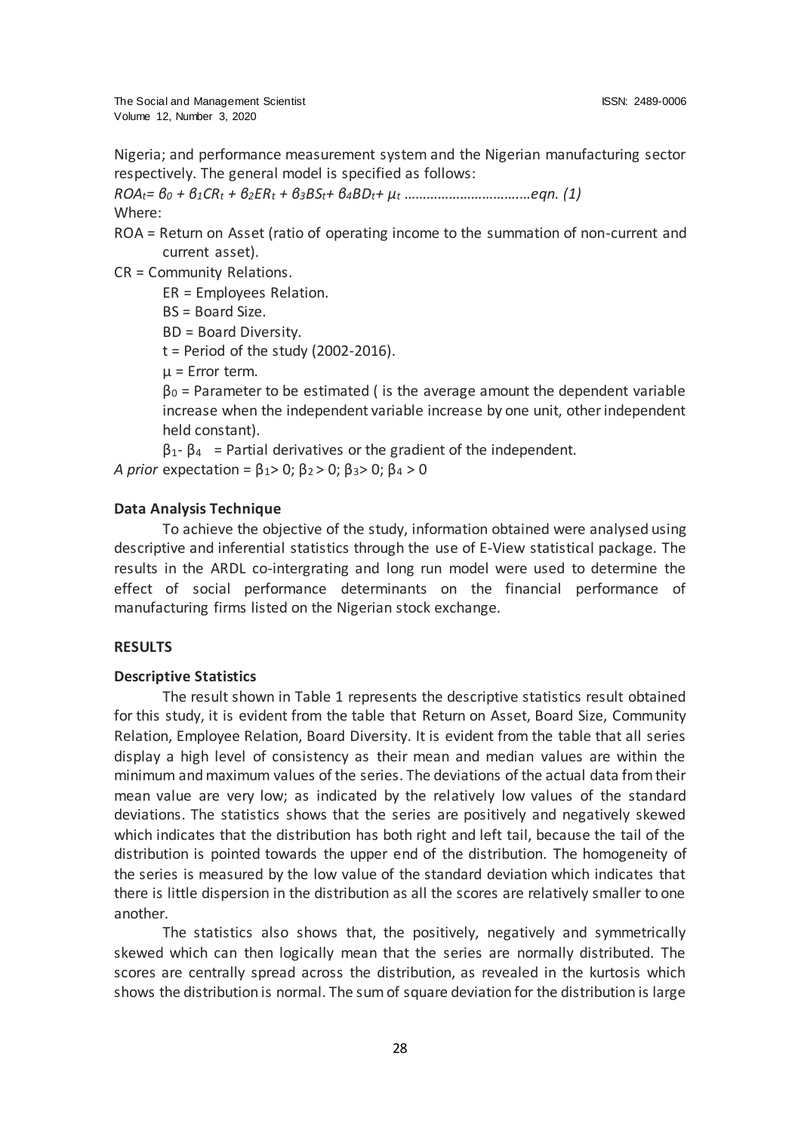The Social and Management Scientist ISSN: 2489-0006 Volume 12, Number 3, 2020

Nigeria; and performance measurement system and the Nigerian manufacturing sector respectively. The general model is specified as follows:

*ROAt= β<sup>0</sup> + β1CR<sup>t</sup> + β2ER<sup>t</sup> + β3BSt+ β4BDt+ μ<sup>t</sup> ………………………….…eqn. (1)* Where:

ROA = Return on Asset (ratio of operating income to the summation of non-current and current asset).

CR = Community Relations.

ER = Employees Relation.

BS = Board Size.

BD = Board Diversity.

 $t = Period of the study (2002-2016).$ 

μ = Error term.

 $\beta_0$  = Parameter to be estimated ( is the average amount the dependent variable increase when the independent variable increase by one unit, other independent held constant).

 $\beta_1 - \beta_4$  = Partial derivatives or the gradient of the independent. *A prior* expectation =  $\beta_1$  > 0;  $\beta_2$  > 0;  $\beta_3$  > 0;  $\beta_4$  > 0

#### **Data Analysis Technique**

To achieve the objective of the study, information obtained were analysed using descriptive and inferential statistics through the use of E-View statistical package. The results in the ARDL co-intergrating and long run model were used to determine the effect of social performance determinants on the financial performance of manufacturing firms listed on the Nigerian stock exchange.

## **RESULTS**

#### **Descriptive Statistics**

The result shown in Table 1 represents the descriptive statistics result obtained for this study, it is evident from the table that Return on Asset, Board Size, Community Relation, Employee Relation, Board Diversity. It is evident from the table that all series display a high level of consistency as their mean and median values are within the minimum and maximum values of the series. The deviations of the actual data from their mean value are very low; as indicated by the relatively low values of the standard deviations. The statistics shows that the series are positively and negatively skewed which indicates that the distribution has both right and left tail, because the tail of the distribution is pointed towards the upper end of the distribution. The homogeneity of the series is measured by the low value of the standard deviation which indicates that there is little dispersion in the distribution as all the scores are relatively smaller to one another.

The statistics also shows that, the positively, negatively and symmetrically skewed which can then logically mean that the series are normally distributed. The scores are centrally spread across the distribution, as revealed in the kurtosis which shows the distribution is normal. The sum of square deviation for the distribution is large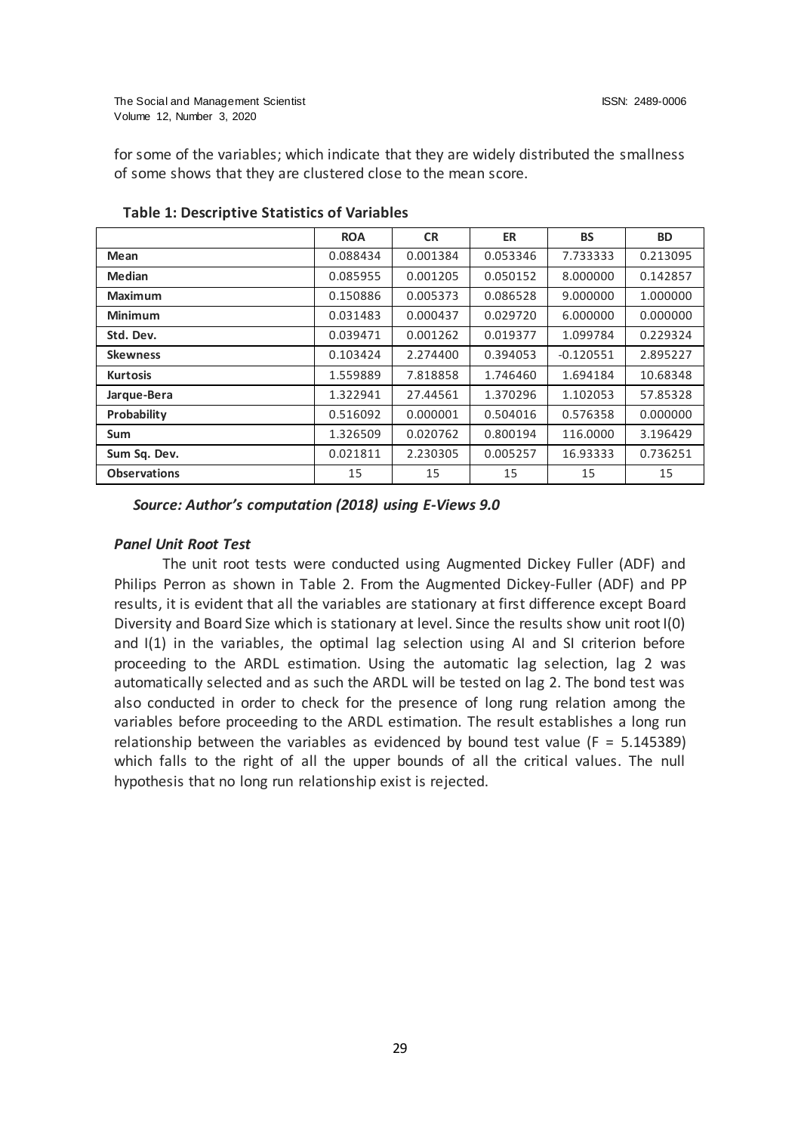The Social and Management Scientist ISSN: 2489-0006 Volume 12, Number 3, 2020

for some of the variables; which indicate that they are widely distributed the smallness of some shows that they are clustered close to the mean score.

|                     | <b>ROA</b> | <b>CR</b> | <b>ER</b> | <b>BS</b>   | <b>BD</b> |
|---------------------|------------|-----------|-----------|-------------|-----------|
| Mean                | 0.088434   | 0.001384  | 0.053346  | 7.733333    | 0.213095  |
| <b>Median</b>       | 0.085955   | 0.001205  | 0.050152  | 8.000000    | 0.142857  |
| <b>Maximum</b>      | 0.150886   | 0.005373  | 0.086528  | 9.000000    | 1.000000  |
| <b>Minimum</b>      | 0.031483   | 0.000437  | 0.029720  | 6.000000    | 0.000000  |
| Std. Dev.           | 0.039471   | 0.001262  | 0.019377  | 1.099784    | 0.229324  |
| <b>Skewness</b>     | 0.103424   | 2.274400  | 0.394053  | $-0.120551$ | 2.895227  |
| <b>Kurtosis</b>     | 1.559889   | 7.818858  | 1.746460  | 1.694184    | 10.68348  |
| Jarque-Bera         | 1.322941   | 27.44561  | 1.370296  | 1.102053    | 57.85328  |
| Probability         | 0.516092   | 0.000001  | 0.504016  | 0.576358    | 0.000000  |
| <b>Sum</b>          | 1.326509   | 0.020762  | 0.800194  | 116.0000    | 3.196429  |
| Sum Sq. Dev.        | 0.021811   | 2.230305  | 0.005257  | 16.93333    | 0.736251  |
| <b>Observations</b> | 15         | 15        | 15        | 15          | 15        |

**Table 1: Descriptive Statistics of Variables**

*Source: Author's computation (2018) using E-Views 9.0*

#### *Panel Unit Root Test*

The unit root tests were conducted using Augmented Dickey Fuller (ADF) and Philips Perron as shown in Table 2. From the Augmented Dickey-Fuller (ADF) and PP results, it is evident that all the variables are stationary at first difference except Board Diversity and Board Size which is stationary at level. Since the results show unit root I(0) and I(1) in the variables, the optimal lag selection using AI and SI criterion before proceeding to the ARDL estimation. Using the automatic lag selection, lag 2 was automatically selected and as such the ARDL will be tested on lag 2. The bond test was also conducted in order to check for the presence of long rung relation among the variables before proceeding to the ARDL estimation. The result establishes a long run relationship between the variables as evidenced by bound test value ( $F = 5.145389$ ) which falls to the right of all the upper bounds of all the critical values. The null hypothesis that no long run relationship exist is rejected.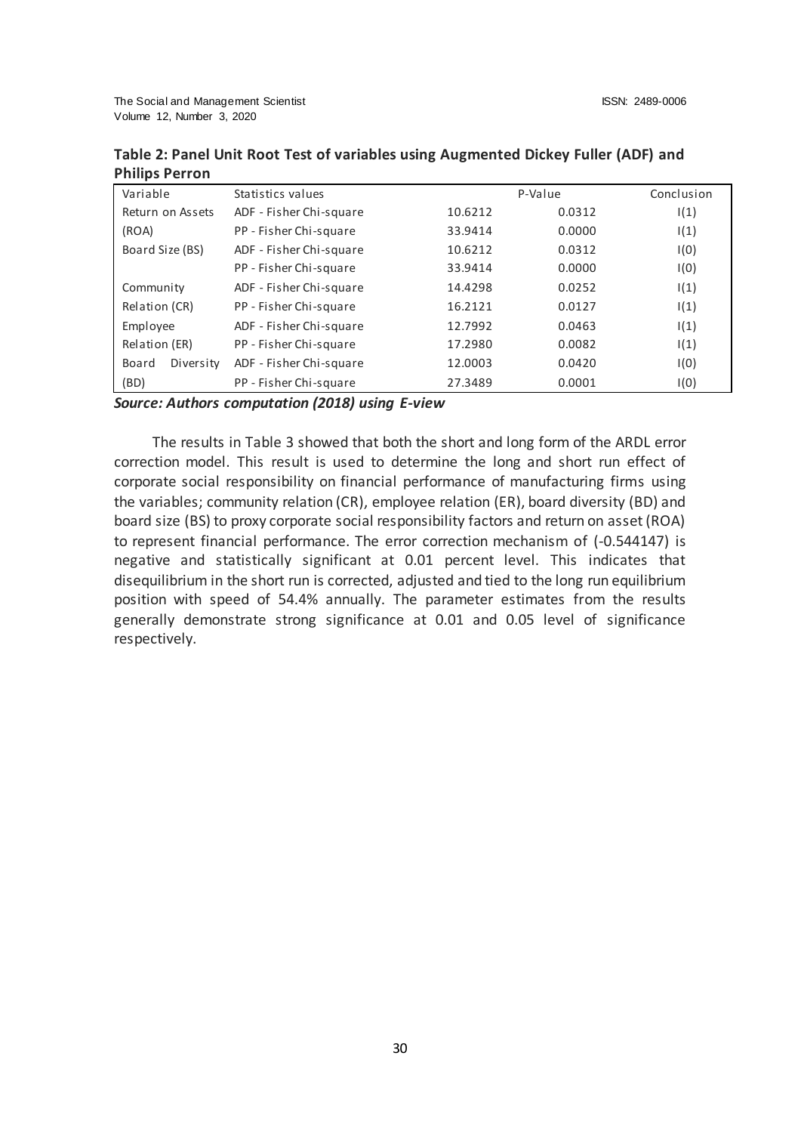| Table 2: Panel Unit Root Test of variables using Augmented Dickey Fuller (ADF) and |  |
|------------------------------------------------------------------------------------|--|
| <b>Philips Perron</b>                                                              |  |

| Variable           | Statistics values       |         | P-Value | Conclusion |
|--------------------|-------------------------|---------|---------|------------|
| Return on Assets   | ADF - Fisher Chi-square | 10.6212 | 0.0312  | 1(1)       |
| (ROA)              | PP - Fisher Chi-square  | 33.9414 | 0.0000  | 1(1)       |
| Board Size (BS)    | ADF - Fisher Chi-square | 10.6212 | 0.0312  | I(0)       |
|                    | PP - Fisher Chi-square  | 33.9414 | 0.0000  | I(0)       |
| Community          | ADF - Fisher Chi-square | 14.4298 | 0.0252  | 1(1)       |
| Relation (CR)      | PP - Fisher Chi-square  | 16.2121 | 0.0127  | 1(1)       |
| Employee           | ADF - Fisher Chi-square | 12.7992 | 0.0463  | 1(1)       |
| Relation (ER)      | PP - Fisher Chi-square  | 17.2980 | 0.0082  | 1(1)       |
| Diversity<br>Board | ADF - Fisher Chi-square | 12.0003 | 0.0420  | I(0)       |
| (BD)               | PP - Fisher Chi-square  | 27.3489 | 0.0001  | I(0)       |

#### *Source: Authors computation (2018) using E-view*

The results in Table 3 showed that both the short and long form of the ARDL error correction model. This result is used to determine the long and short run effect of corporate social responsibility on financial performance of manufacturing firms using the variables; community relation (CR), employee relation (ER), board diversity (BD) and board size (BS) to proxy corporate social responsibility factors and return on asset (ROA) to represent financial performance. The error correction mechanism of (-0.544147) is negative and statistically significant at 0.01 percent level. This indicates that disequilibrium in the short run is corrected, adjusted and tied to the long run equilibrium position with speed of 54.4% annually. The parameter estimates from the results generally demonstrate strong significance at 0.01 and 0.05 level of significance respectively.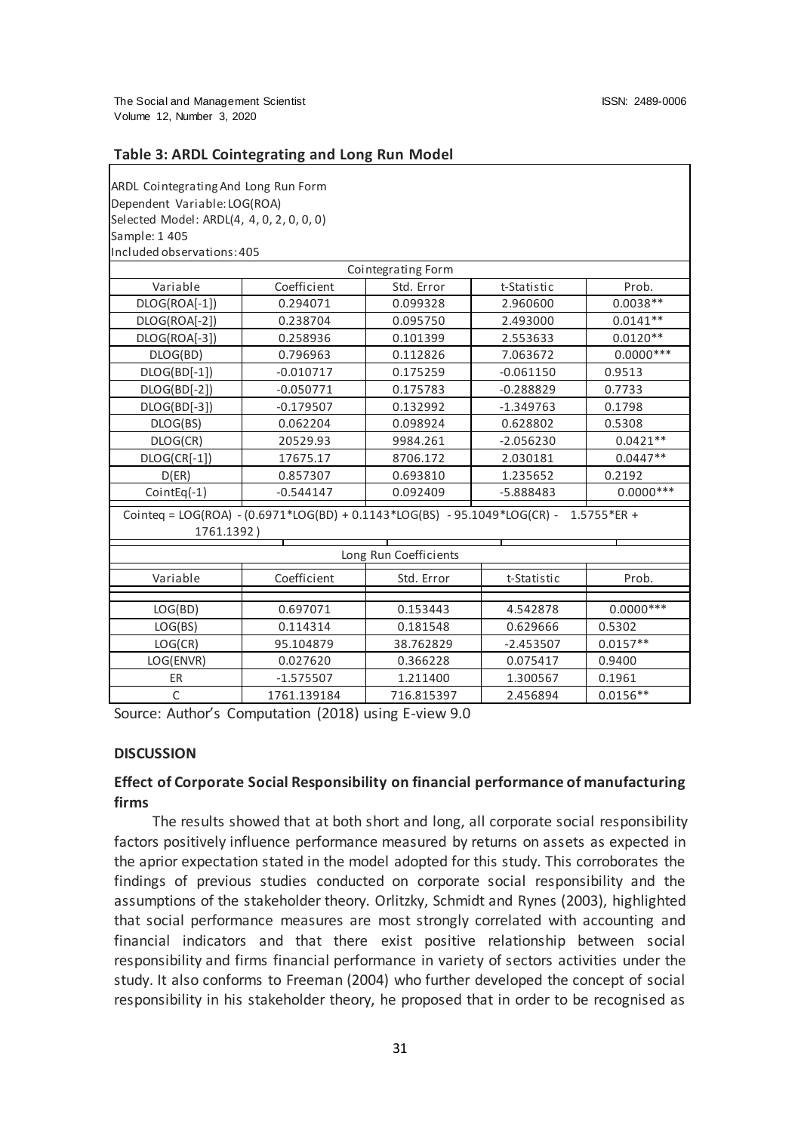#### **Table 3: ARDL Cointegrating and Long Run Model**

| ARDL Cointegrating And Long Run Form                                                  |                           |            |             |             |  |  |  |  |
|---------------------------------------------------------------------------------------|---------------------------|------------|-------------|-------------|--|--|--|--|
| Dependent Variable: LOG(ROA)                                                          |                           |            |             |             |  |  |  |  |
| Selected Model: ARDL(4, 4, 0, 2, 0, 0, 0)                                             |                           |            |             |             |  |  |  |  |
| Sample: 1 405                                                                         |                           |            |             |             |  |  |  |  |
| Included observations: 405                                                            |                           |            |             |             |  |  |  |  |
| Cointegrating Form                                                                    |                           |            |             |             |  |  |  |  |
| Variable                                                                              | Coefficient               | Std. Error | t-Statistic | Prob.       |  |  |  |  |
| DLOG(ROA[-1])                                                                         | 0.294071                  | 0.099328   | 2.960600    | $0.0038**$  |  |  |  |  |
| DLOG(ROA[-2])                                                                         | 0.238704                  | 0.095750   | 2.493000    | $0.0141**$  |  |  |  |  |
|                                                                                       | DLOG(ROA[-3])<br>0.258936 |            | 2.553633    | $0.0120**$  |  |  |  |  |
| DLOG(BD)                                                                              | 0.796963                  |            | 7.063672    | $0.0000***$ |  |  |  |  |
| DLOG(BD[-1])                                                                          | $-0.010717$               | 0.175259   | $-0.061150$ | 0.9513      |  |  |  |  |
| DLOG(BD[-2])                                                                          | $-0.050771$               | 0.175783   | $-0.288829$ | 0.7733      |  |  |  |  |
| DLOG(BD[-3])                                                                          | $-0.179507$               | 0.132992   | $-1.349763$ | 0.1798      |  |  |  |  |
| DLOG(BS)                                                                              | 0.062204                  | 0.098924   | 0.628802    | 0.5308      |  |  |  |  |
| DLOG(CR)                                                                              | 20529.93                  | 9984.261   | $-2.056230$ | $0.0421**$  |  |  |  |  |
| DLOG(CR[-1])                                                                          | 17675.17                  | 8706.172   | 2.030181    | $0.0447**$  |  |  |  |  |
| D(ER)                                                                                 | 0.857307                  | 0.693810   | 1.235652    | 0.2192      |  |  |  |  |
| CointEq $(-1)$                                                                        | $-0.544147$               | 0.092409   | -5.888483   | $0.0000***$ |  |  |  |  |
| Cointeq = LOG(ROA) - (0.6971*LOG(BD) + 0.1143*LOG(BS) - 95.1049*LOG(CR) - 1.5755*ER + |                           |            |             |             |  |  |  |  |
| 1761.1392)                                                                            |                           |            |             |             |  |  |  |  |
| Long Run Coefficients                                                                 |                           |            |             |             |  |  |  |  |
| Variable                                                                              | Coefficient               | Std. Error | t-Statistic | Prob.       |  |  |  |  |
|                                                                                       |                           |            |             |             |  |  |  |  |
| LOG(BD)                                                                               | 0.697071                  | 0.153443   | 4.542878    | $0.0000***$ |  |  |  |  |
| LOG(BS)                                                                               | 0.114314                  | 0.181548   | 0.629666    | 0.5302      |  |  |  |  |
| LOG(CR)                                                                               | 95.104879                 | 38.762829  | $-2.453507$ | $0.0157**$  |  |  |  |  |
| LOG(ENVR)                                                                             | 0.027620                  | 0.366228   | 0.075417    | 0.9400      |  |  |  |  |
| ER                                                                                    | $-1.575507$               | 1.211400   | 1.300567    | 0.1961      |  |  |  |  |
| $\mathsf{C}$                                                                          | 1761.139184               | 716.815397 | 2.456894    | $0.0156**$  |  |  |  |  |

Source: Author's Computation (2018) using E-view 9.0

#### **DISCUSSION**

# **Effect of Corporate Social Responsibility on financial performance of manufacturing firms**

The results showed that at both short and long, all corporate social responsibility factors positively influence performance measured by returns on assets as expected in the aprior expectation stated in the model adopted for this study. This corroborates the findings of previous studies conducted on corporate social responsibility and the assumptions of the stakeholder theory. Orlitzky, Schmidt and Rynes (2003), highlighted that social performance measures are most strongly correlated with accounting and financial indicators and that there exist positive relationship between social responsibility and firms financial performance in variety of sectors activities under the study. It also conforms to Freeman (2004) who further developed the concept of social responsibility in his stakeholder theory, he proposed that in order to be recognised as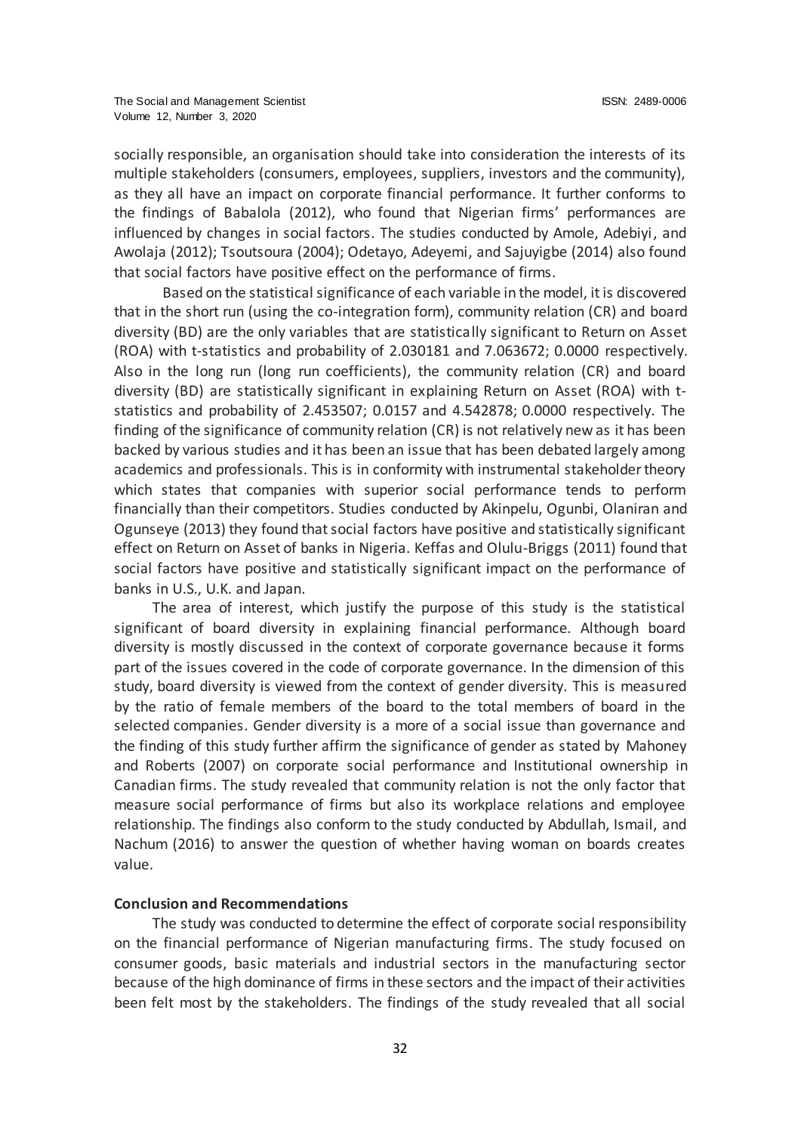socially responsible, an organisation should take into consideration the interests of its multiple stakeholders (consumers, employees, suppliers, investors and the community), as they all have an impact on corporate financial performance. It further conforms to the findings of Babalola (2012), who found that Nigerian firms' performances are influenced by changes in social factors. The studies conducted by Amole, Adebiyi, and Awolaja (2012); Tsoutsoura (2004); Odetayo, Adeyemi, and Sajuyigbe (2014) also found that social factors have positive effect on the performance of firms.

Based on the statistical significance of each variable in the model, it is discovered that in the short run (using the co-integration form), community relation (CR) and board diversity (BD) are the only variables that are statistically significant to Return on Asset (ROA) with t-statistics and probability of 2.030181 and 7.063672; 0.0000 respectively. Also in the long run (long run coefficients), the community relation (CR) and board diversity (BD) are statistically significant in explaining Return on Asset (ROA) with tstatistics and probability of 2.453507; 0.0157 and 4.542878; 0.0000 respectively. The finding of the significance of community relation (CR) is not relatively new as it has been backed by various studies and it has been an issue that has been debated largely among academics and professionals. This is in conformity with instrumental stakeholder theory which states that companies with superior social performance tends to perform financially than their competitors. Studies conducted by Akinpelu, Ogunbi, Olaniran and Ogunseye (2013) they found that social factors have positive and statistically significant effect on Return on Asset of banks in Nigeria. Keffas and Olulu-Briggs (2011) found that social factors have positive and statistically significant impact on the performance of banks in U.S., U.K. and Japan.

The area of interest, which justify the purpose of this study is the statistical significant of board diversity in explaining financial performance. Although board diversity is mostly discussed in the context of corporate governance because it forms part of the issues covered in the code of corporate governance. In the dimension of this study, board diversity is viewed from the context of gender diversity. This is measured by the ratio of female members of the board to the total members of board in the selected companies. Gender diversity is a more of a social issue than governance and the finding of this study further affirm the significance of gender as stated by Mahoney and Roberts (2007) on corporate social performance and Institutional ownership in Canadian firms. The study revealed that community relation is not the only factor that measure social performance of firms but also its workplace relations and employee relationship. The findings also conform to the study conducted by Abdullah, Ismail, and Nachum (2016) to answer the question of whether having woman on boards creates value.

# **Conclusion and Recommendations**

The study was conducted to determine the effect of corporate social responsibility on the financial performance of Nigerian manufacturing firms. The study focused on consumer goods, basic materials and industrial sectors in the manufacturing sector because of the high dominance of firms in these sectors and the impact of their activities been felt most by the stakeholders. The findings of the study revealed that all social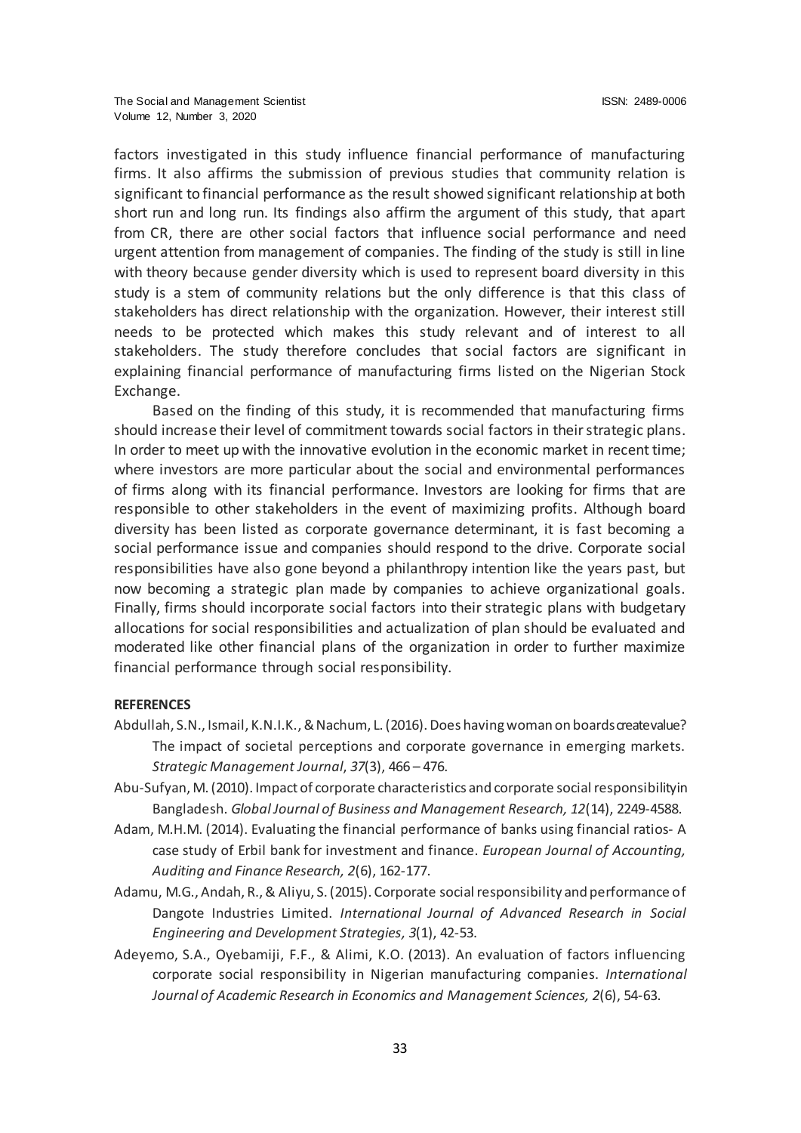factors investigated in this study influence financial performance of manufacturing firms. It also affirms the submission of previous studies that community relation is significant to financial performance as the result showed significant relationship at both short run and long run. Its findings also affirm the argument of this study, that apart from CR, there are other social factors that influence social performance and need urgent attention from management of companies. The finding of the study is still in line with theory because gender diversity which is used to represent board diversity in this study is a stem of community relations but the only difference is that this class of stakeholders has direct relationship with the organization. However, their interest still needs to be protected which makes this study relevant and of interest to all stakeholders. The study therefore concludes that social factors are significant in explaining financial performance of manufacturing firms listed on the Nigerian Stock Exchange.

Based on the finding of this study, it is recommended that manufacturing firms should increase their level of commitment towards social factors in their strategic plans. In order to meet up with the innovative evolution in the economic market in recent time; where investors are more particular about the social and environmental performances of firms along with its financial performance. Investors are looking for firms that are responsible to other stakeholders in the event of maximizing profits. Although board diversity has been listed as corporate governance determinant, it is fast becoming a social performance issue and companies should respond to the drive. Corporate social responsibilities have also gone beyond a philanthropy intention like the years past, but now becoming a strategic plan made by companies to achieve organizational goals. Finally, firms should incorporate social factors into their strategic plans with budgetary allocations for social responsibilities and actualization of plan should be evaluated and moderated like other financial plans of the organization in order to further maximize financial performance through social responsibility.

#### **REFERENCES**

- Abdullah, S.N., Ismail, K.N.I.K.,& Nachum, L. (2016). Does having woman on boards create value? The impact of societal perceptions and corporate governance in emerging markets. *Strategic Management Journal*, *37*(3), 466 – 476.
- Abu-Sufyan, M. (2010). Impact of corporate characteristics and corporate social responsibility in Bangladesh. *Global Journal of Business and Management Research, 12*(14), 2249-4588.
- Adam, M.H.M. (2014). Evaluating the financial performance of banks using financial ratios- A case study of Erbil bank for investment and finance. *European Journal of Accounting, Auditing and Finance Research, 2*(6), 162-177.
- Adamu, M.G., Andah, R., & Aliyu, S. (2015). Corporate social responsibility and performance of Dangote Industries Limited. *International Journal of Advanced Research in Social Engineering and Development Strategies, 3*(1), 42-53.
- Adeyemo, S.A., Oyebamiji, F.F., & Alimi, K.O. (2013). An evaluation of factors influencing corporate social responsibility in Nigerian manufacturing companies. *International Journal of Academic Research in Economics and Management Sciences, 2*(6), 54-63.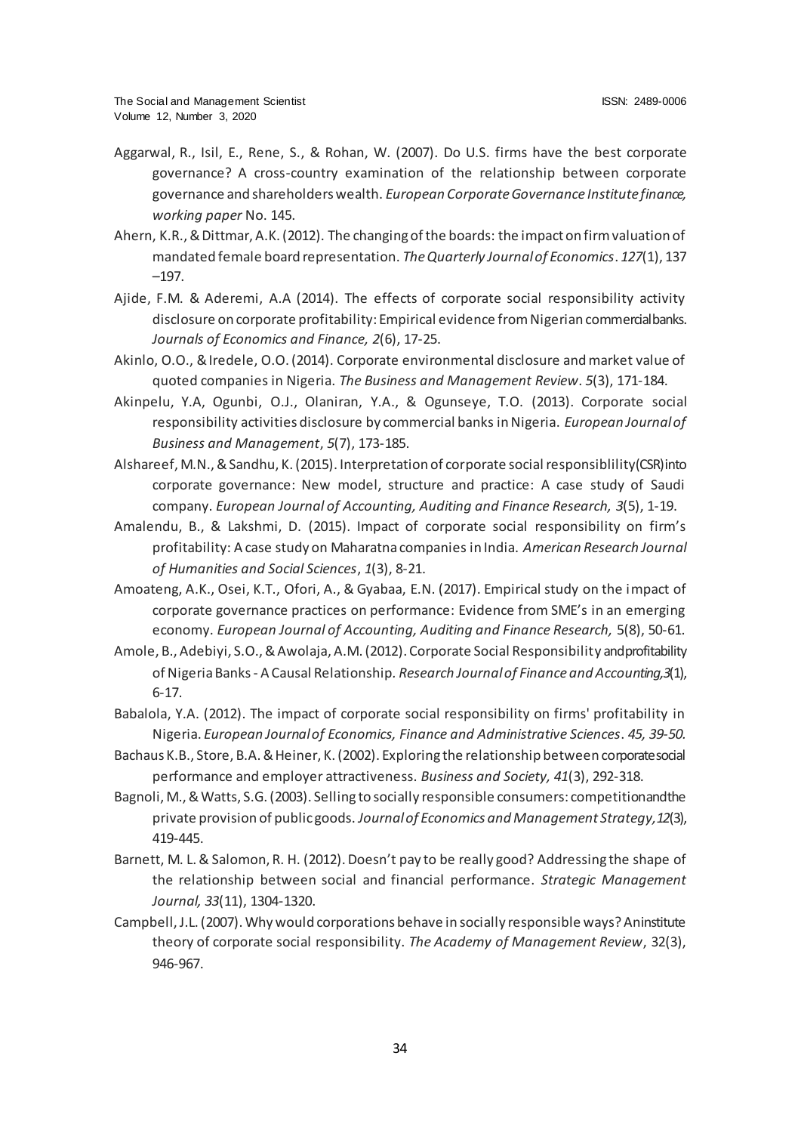- Aggarwal, R., Isil, E., Rene, S., & Rohan, W. (2007). Do U.S. firms have the best corporate governance? A cross-country examination of the relationship between corporate governance and shareholders wealth. *European Corporate Governance Institute finance, working paper* No. 145.
- Ahern, K.R.,& Dittmar, A.K. (2012). The changing of the boards: the impact on firm valuation of mandated female board representation. *The Quarterly Journal of Economics*. *127*(1), 137 –197.
- Ajide, F.M. & Aderemi, A.A (2014). The effects of corporate social responsibility activity disclosure on corporate profitability: Empirical evidence from Nigerian commercial banks. *Journals of Economics and Finance, 2*(6), 17-25.
- Akinlo, O.O., & Iredele, O.O. (2014). Corporate environmental disclosure and market value of quoted companies in Nigeria. *The Business and Management Review*. *5*(3), 171-184.
- Akinpelu, Y.A, Ogunbi, O.J., Olaniran, Y.A., & Ogunseye, T.O. (2013). Corporate social responsibility activities disclosure by commercial banks in Nigeria. *European Journal of Business and Management*, *5*(7), 173-185.
- Alshareef, M.N., & Sandhu, K. (2015). Interpretation of corporate social responsiblility (CSR) into corporate governance: New model, structure and practice: A case study of Saudi company. *European Journal of Accounting, Auditing and Finance Research, 3*(5), 1-19.
- Amalendu, B., & Lakshmi, D. (2015). Impact of corporate social responsibility on firm's profitability: A case study on Maharatna companies in India. *American Research Journal of Humanities and Social Sciences*, *1*(3), 8-21.
- Amoateng, A.K., Osei, K.T., Ofori, A., & Gyabaa, E.N. (2017). Empirical study on the impact of corporate governance practices on performance: Evidence from SME's in an emerging economy. *European Journal of Accounting, Auditing and Finance Research,* 5(8), 50-61.
- Amole, B., Adebiyi, S.O., & Awolaja, A.M. (2012). Corporate Social Responsibility and profitability of Nigeria Banks - A Causal Relationship*. Research Journal of Finance and Accounting,3*(1), 6-17.
- Babalola, Y.A. (2012). The impact of corporate social responsibility on firms' profitability in Nigeria. *European Journal of Economics, Finance and Administrative Sciences*. *45, 39-50.*
- Bachaus K.B., Store, B.A. & Heiner, K. (2002). Exploring the relationship between corporate social performance and employer attractiveness. *Business and Society, 41*(3), 292-318.
- Bagnoli, M., & Watts, S.G. (2003). Selling to socially responsible consumers: competitionandthe private provision of public goods. *Journal of Economics and Management Strategy, 12*(3), 419-445.
- Barnett, M. L. & Salomon, R. H. (2012). Doesn't pay to be really good? Addressing the shape of the relationship between social and financial performance. *Strategic Management Journal, 33*(11), 1304-1320.
- Campbell, J.L. (2007). Why would corporations behave in socially responsible ways? An institute theory of corporate social responsibility. *The Academy of Management Review*, 32(3), 946-967.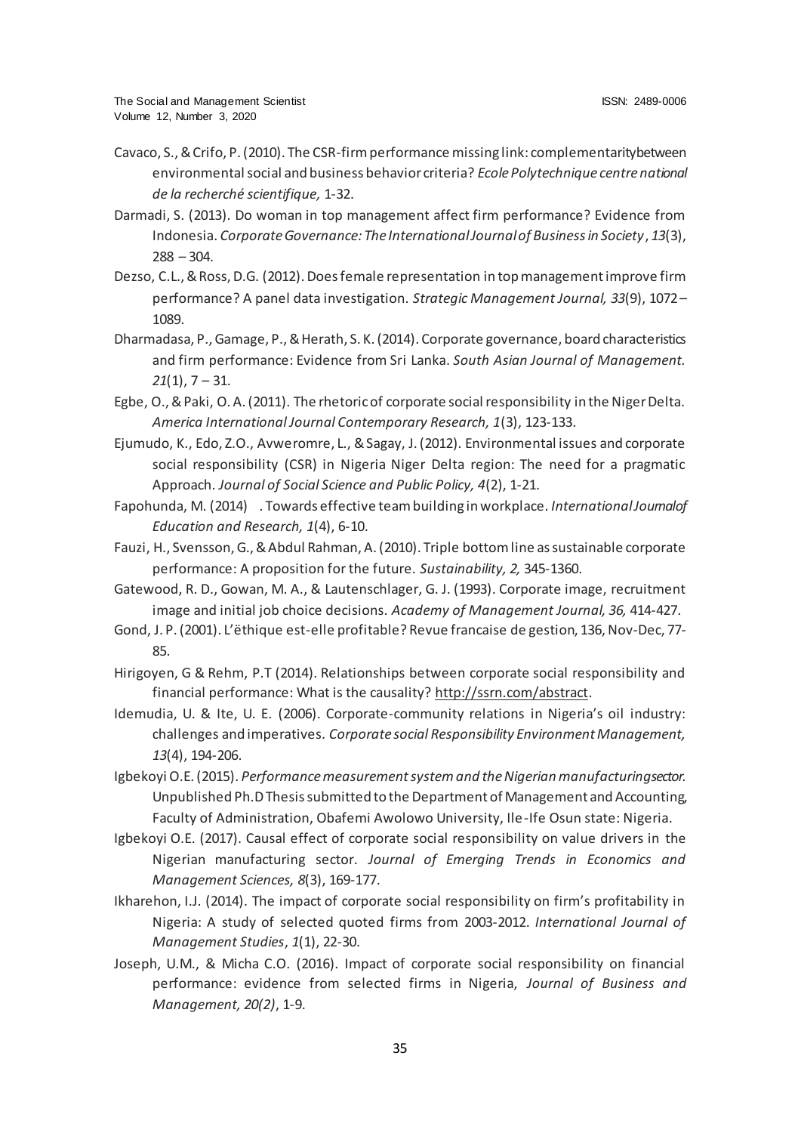- Cavaco, S.,& Crifo, P. (2010). The CSR-firm performance missing link: complementarity between environmental social and business behavior criteria? *Ecole Polytechnique centre national de la recherché scientifique,* 1-32.
- Darmadi, S. (2013). Do woman in top management affect firm performance? Evidence from Indonesia. *Corporate Governance: The International Journal of Business in Society*, *13*(3),  $288 - 304.$
- Dezso, C.L., & Ross, D.G. (2012). Does female representation in top management improve firm performance? A panel data investigation. *Strategic Management Journal, 33*(9), 1072 – 1089.
- Dharmadasa, P., Gamage, P., & Herath, S. K. (2014). Corporate governance, board characteristics and firm performance: Evidence from Sri Lanka. *South Asian Journal of Management. 21*(1), 7 – 31.
- Egbe, O., & Paki, O. A. (2011). The rhetoric of corporate social responsibility in the Niger Delta. *America International Journal Contemporary Research, 1*(3), 123-133.
- Ejumudo, K., Edo, Z.O., Avweromre, L., & Sagay, J. (2012). Environmental issues and corporate social responsibility (CSR) in Nigeria Niger Delta region: The need for a pragmatic Approach. *Journal of Social Science and Public Policy, 4*(2), 1-21.
- Fapohunda, M. (2014) . Towards effective team building in workplace. *International Journal of Education and Research, 1*(4), 6-10.
- Fauzi, H., Svensson, G., & Abdul Rahman, A. (2010). Triple bottom line as sustainable corporate performance: A proposition for the future. *Sustainability, 2,* 345-1360.
- Gatewood, R. D., Gowan, M. A., & Lautenschlager, G. J. (1993). Corporate image, recruitment image and initial job choice decisions. *Academy of Management Journal, 36,* 414-427.
- Gond, J. P. (2001). L'ëthique est-elle profitable? Revue francaise de gestion, 136, Nov-Dec, 77- 85.
- Hirigoyen, G & Rehm, P.T (2014). Relationships between corporate social responsibility and financial performance: What is the causalit[y? http://ssrn.com/abstrac](http://ssrn.com/abstract)t.
- Idemudia, U. & Ite, U. E. (2006). Corporate-community relations in Nigeria's oil industry: challenges and imperatives. *Corporate social Responsibility Environment Management, 13*(4), 194-206.
- Igbekoyi O.E. (2015). *Performance measurement system and the Nigerian manufacturing sector.* Unpublished Ph.D Thesis submitted to the Department of Management and Accounting, Faculty of Administration, Obafemi Awolowo University, Ile-Ife Osun state: Nigeria.
- Igbekoyi O.E. (2017). Causal effect of corporate social responsibility on value drivers in the Nigerian manufacturing sector. *Journal of Emerging Trends in Economics and Management Sciences, 8*(3), 169-177.
- Ikharehon, I.J. (2014). The impact of corporate social responsibility on firm's profitability in Nigeria: A study of selected quoted firms from 2003-2012. *International Journal of Management Studies*, *1*(1), 22-30.
- Joseph, U.M., & Micha C.O. (2016). Impact of corporate social responsibility on financial performance: evidence from selected firms in Nigeria, *Journal of Business and Management, 20(2)*, 1-9.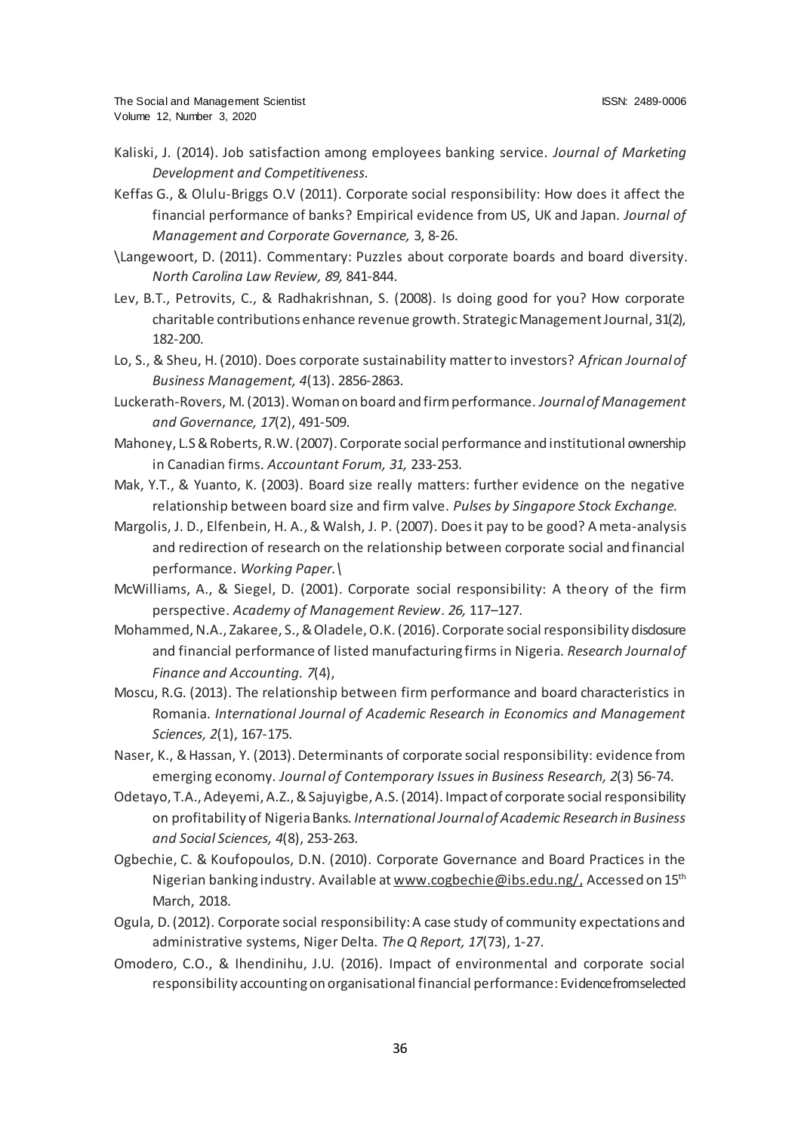- Kaliski, J. (2014). Job satisfaction among employees banking service. *Journal of Marketing Development and Competitiveness.*
- Keffas G., & Olulu-Briggs O.V (2011). Corporate social responsibility: How does it affect the financial performance of banks? Empirical evidence from US, UK and Japan. *Journal of Management and Corporate Governance,* 3, 8-26.
- \Langewoort, D. (2011). Commentary: Puzzles about corporate boards and board diversity. *North Carolina Law Review, 89,* 841-844.
- Lev, B.T., Petrovits, C., & Radhakrishnan, S. (2008). Is doing good for you? How corporate charitable contributions enhance revenue growth. Strategic Management Journal, 31(2), 182-200.
- Lo, S., & Sheu, H. (2010). Does corporate sustainability matter to investors? *African Journal of Business Management, 4*(13). 2856-2863.
- Luckerath-Rovers, M. (2013). Woman on board and firm performance. *Journal of Management and Governance, 17*(2), 491-509.
- Mahoney, L.S & Roberts, R.W. (2007). Corporate social performance and institutional ownership in Canadian firms. *Accountant Forum, 31,* 233-253.
- Mak, Y.T., & Yuanto, K. (2003). Board size really matters: further evidence on the negative relationship between board size and firm valve. *Pulses by Singapore Stock Exchange.*
- Margolis, J. D., Elfenbein, H. A., & Walsh, J. P. (2007). Does it pay to be good? A meta-analysis and redirection of research on the relationship between corporate social and financial performance. *Working Paper.\*
- McWilliams, A., & Siegel, D. (2001). Corporate social responsibility: A theory of the firm perspective. *Academy of Management Review*. *26,* 117–127.
- Mohammed, N.A., Zakaree, S.,& Oladele, O.K. (2016). Corporate social responsibility disclosure and financial performance of listed manufacturing firms in Nigeria. *Research Journal of Finance and Accounting. 7*(4),
- Moscu, R.G. (2013). The relationship between firm performance and board characteristics in Romania. *International Journal of Academic Research in Economics and Management Sciences, 2*(1), 167-175.
- Naser, K., & Hassan, Y. (2013). Determinants of corporate social responsibility: evidence from emerging economy. *Journal of Contemporary Issues in Business Research, 2*(3) 56-74.
- Odetayo, T.A., Adeyemi, A.Z., & Sajuyigbe, A.S. (2014). Impact of corporate social responsibility on profitability of Nigeria Banks*. International Journal of Academic Research in Business and Social Sciences, 4*(8), 253-263.
- Ogbechie, C. & Koufopoulos, D.N. (2010). Corporate Governance and Board Practices in the Nigerian banking industry. Available at [www.cogbechie@ibs.edu.ng/](http://www.cogbechie@ibs.edu.ng/), Accessed on 15<sup>th</sup> March, 2018.
- Ogula, D. (2012). Corporate social responsibility: A case study of community expectations and administrative systems, Niger Delta. *The Q Report, 17*(73), 1-27.
- Omodero, C.O., & Ihendinihu, J.U. (2016). Impact of environmental and corporate social responsibility accounting on organisational financial performance: Evidence from selected